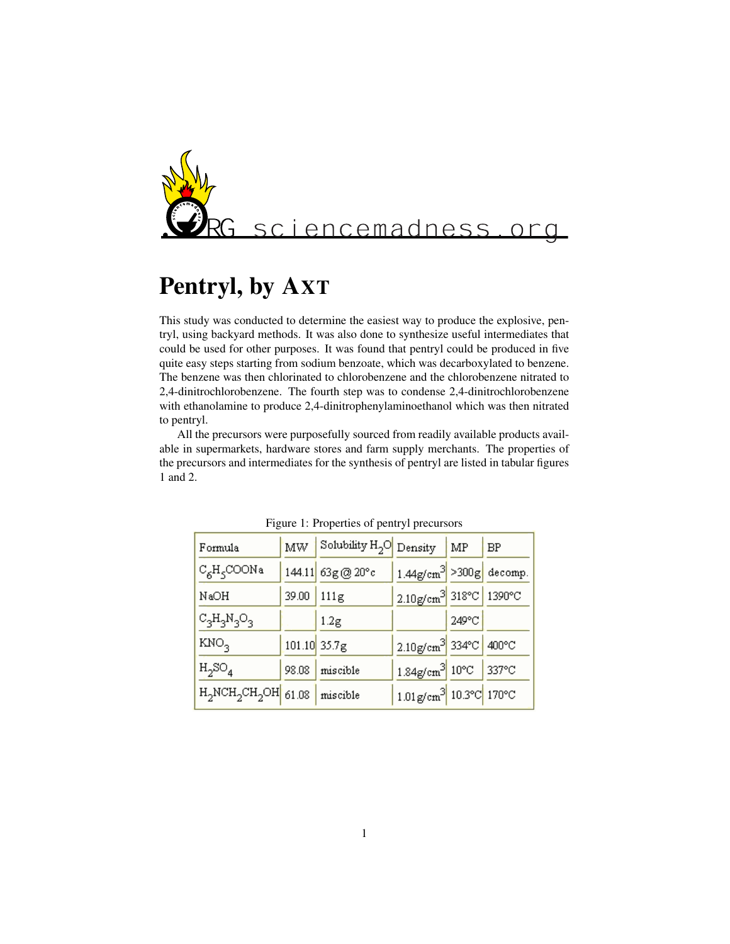

# Pentryl, by AXT

This study was conducted to determine the easiest way to produce the explosive, pentryl, using backyard methods. It was also done to synthesize useful intermediates that could be used for other purposes. It was found that pentryl could be produced in five quite easy steps starting from sodium benzoate, which was decarboxylated to benzene. The benzene was then chlorinated to chlorobenzene and the chlorobenzene nitrated to 2,4-dinitrochlorobenzene. The fourth step was to condense 2,4-dinitrochlorobenzene with ethanolamine to produce 2,4-dinitrophenylaminoethanol which was then nitrated to pentryl.

All the precursors were purposefully sourced from readily available products available in supermarkets, hardware stores and farm supply merchants. The properties of the precursors and intermediates for the synthesis of pentryl are listed in tabular figures 1 and 2.

| Formula                             | <b>MW</b>      | Solubility $H_2$ O Density MP |                                                           |       | <b>BP</b> |
|-------------------------------------|----------------|-------------------------------|-----------------------------------------------------------|-------|-----------|
| C <sub>6</sub> H <sub>5</sub> COONa |                | 144.11 63g@ 20°c              | $1.44$ g/cm <sup>3</sup> > 300g decomp.                   |       |           |
| NaOH                                | 39.00          | 111g                          | $2.10$ g/cm <sup>3</sup> 318°C 1390°C                     |       |           |
| $C_3H_3N_3O_3$                      |                | 1.2 <sub>g</sub>              |                                                           | 249°C |           |
| KNO <sub>3</sub>                    | $101.10$ 35.7g |                               | 2.10g/cm <sup>3</sup> 334°C 400°C                         |       |           |
| $_{12}SO_4$                         | 98.08          | miscible                      | 1.84g/cm <sup>3</sup> 10°C 337°C                          |       |           |
| $H_2NCH_2CH_2OH$ 61.08 miscible     |                |                               | $1.01$ g/cm <sup>3</sup> $10.3^{\circ}$ C $170^{\circ}$ C |       |           |

Figure 1: Properties of pentryl precursors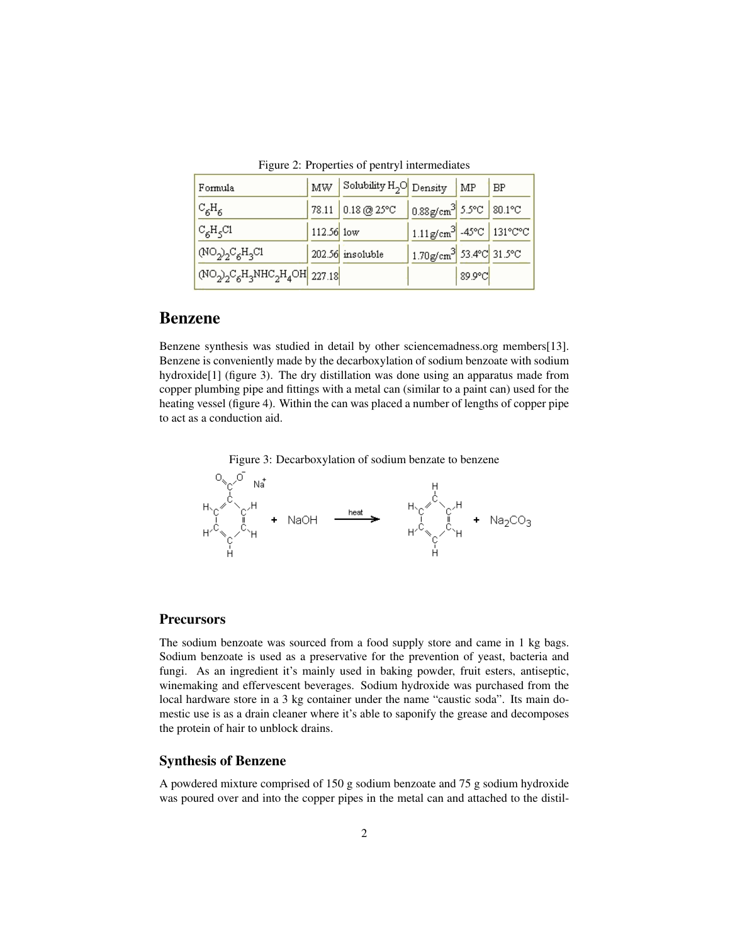| Formula                                  | MW         | Solubility $H_2O$ Density |                                                    | MP               | BP |
|------------------------------------------|------------|---------------------------|----------------------------------------------------|------------------|----|
| ${}^{C}e^{H}6$                           |            | 78.11 0.18 @ 25°C         | $\frac{1}{2}0.88g/cm^3$ 5.5°C $\frac{1}{2}$ 80.1°C |                  |    |
| $C_6H_5Cl$                               | 112.56 low |                           | $1.11$ g/cm <sup>3</sup> - 45°C 131°C°C            |                  |    |
| $(NO_2)_2C_6H_3Cl$                       |            | 202.56 insoluble          | $1.70g/cm^3$ 53.4°C 31.5°C                         |                  |    |
| $\sqrt{(NO_2)_2C_6H_3NHC_2H_4OH}$ 227.18 |            |                           |                                                    | $89.9^{\circ}$ C |    |

Figure 2: Properties of pentryl intermediates

### Benzene

Benzene synthesis was studied in detail by other sciencemadness.org members[13]. Benzene is conveniently made by the decarboxylation of sodium benzoate with sodium hydroxide<sup>[1]</sup> (figure 3). The dry distillation was done using an apparatus made from copper plumbing pipe and fittings with a metal can (similar to a paint can) used for the heating vessel (figure 4). Within the can was placed a number of lengths of copper pipe to act as a conduction aid.



### **Precursors**

The sodium benzoate was sourced from a food supply store and came in 1 kg bags. Sodium benzoate is used as a preservative for the prevention of yeast, bacteria and fungi. As an ingredient it's mainly used in baking powder, fruit esters, antiseptic, winemaking and effervescent beverages. Sodium hydroxide was purchased from the local hardware store in a 3 kg container under the name "caustic soda". Its main domestic use is as a drain cleaner where it's able to saponify the grease and decomposes the protein of hair to unblock drains.

### Synthesis of Benzene

A powdered mixture comprised of 150 g sodium benzoate and 75 g sodium hydroxide was poured over and into the copper pipes in the metal can and attached to the distil-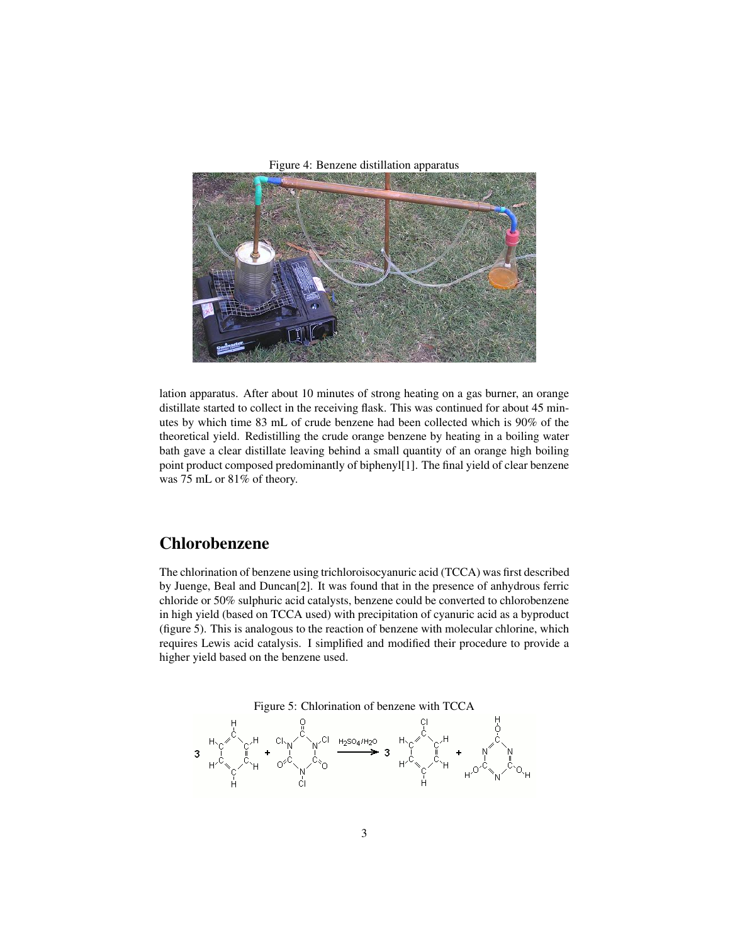Figure 4: Benzene distillation apparatus



lation apparatus. After about 10 minutes of strong heating on a gas burner, an orange distillate started to collect in the receiving flask. This was continued for about 45 minutes by which time 83 mL of crude benzene had been collected which is 90% of the theoretical yield. Redistilling the crude orange benzene by heating in a boiling water bath gave a clear distillate leaving behind a small quantity of an orange high boiling point product composed predominantly of biphenyl[1]. The final yield of clear benzene was 75 mL or 81% of theory.

## Chlorobenzene

The chlorination of benzene using trichloroisocyanuric acid (TCCA) was first described by Juenge, Beal and Duncan[2]. It was found that in the presence of anhydrous ferric chloride or 50% sulphuric acid catalysts, benzene could be converted to chlorobenzene in high yield (based on TCCA used) with precipitation of cyanuric acid as a byproduct (figure 5). This is analogous to the reaction of benzene with molecular chlorine, which requires Lewis acid catalysis. I simplified and modified their procedure to provide a higher yield based on the benzene used.



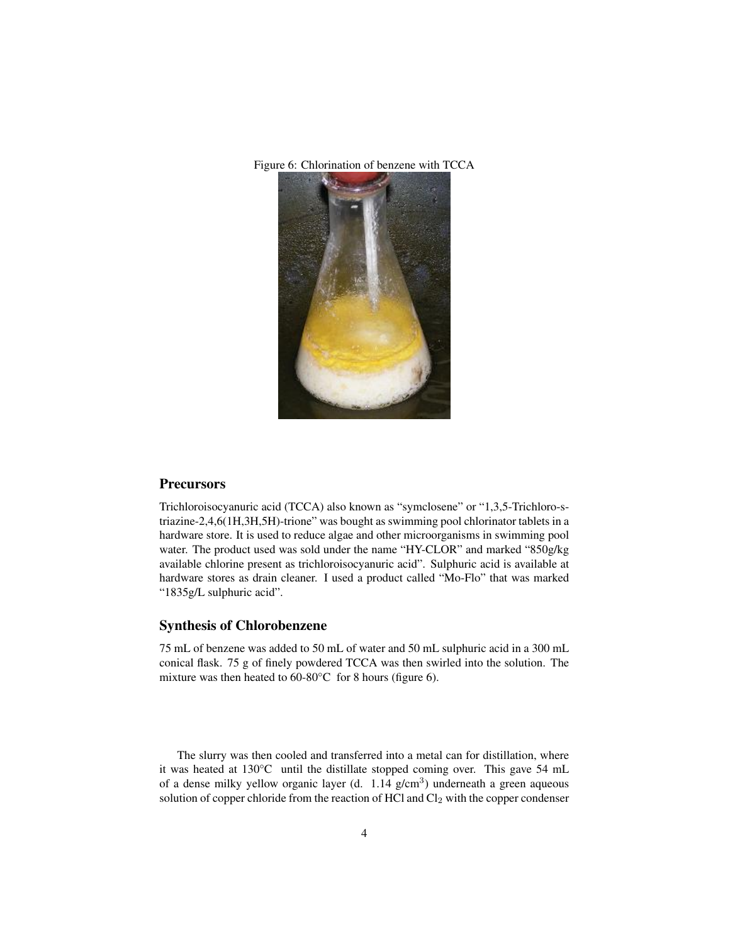Figure 6: Chlorination of benzene with TCCA



### **Precursors**

Trichloroisocyanuric acid (TCCA) also known as "symclosene" or "1,3,5-Trichloro-striazine-2,4,6(1H,3H,5H)-trione" was bought as swimming pool chlorinator tablets in a hardware store. It is used to reduce algae and other microorganisms in swimming pool water. The product used was sold under the name "HY-CLOR" and marked "850g/kg available chlorine present as trichloroisocyanuric acid". Sulphuric acid is available at hardware stores as drain cleaner. I used a product called "Mo-Flo" that was marked "1835g/L sulphuric acid".

### Synthesis of Chlorobenzene

75 mL of benzene was added to 50 mL of water and 50 mL sulphuric acid in a 300 mL conical flask. 75 g of finely powdered TCCA was then swirled into the solution. The mixture was then heated to 60-80°C for 8 hours (figure 6).

The slurry was then cooled and transferred into a metal can for distillation, where it was heated at 130°C until the distillate stopped coming over. This gave 54 mL of a dense milky yellow organic layer (d.  $1.14$  g/cm<sup>3</sup>) underneath a green aqueous solution of copper chloride from the reaction of HCl and  $Cl<sub>2</sub>$  with the copper condenser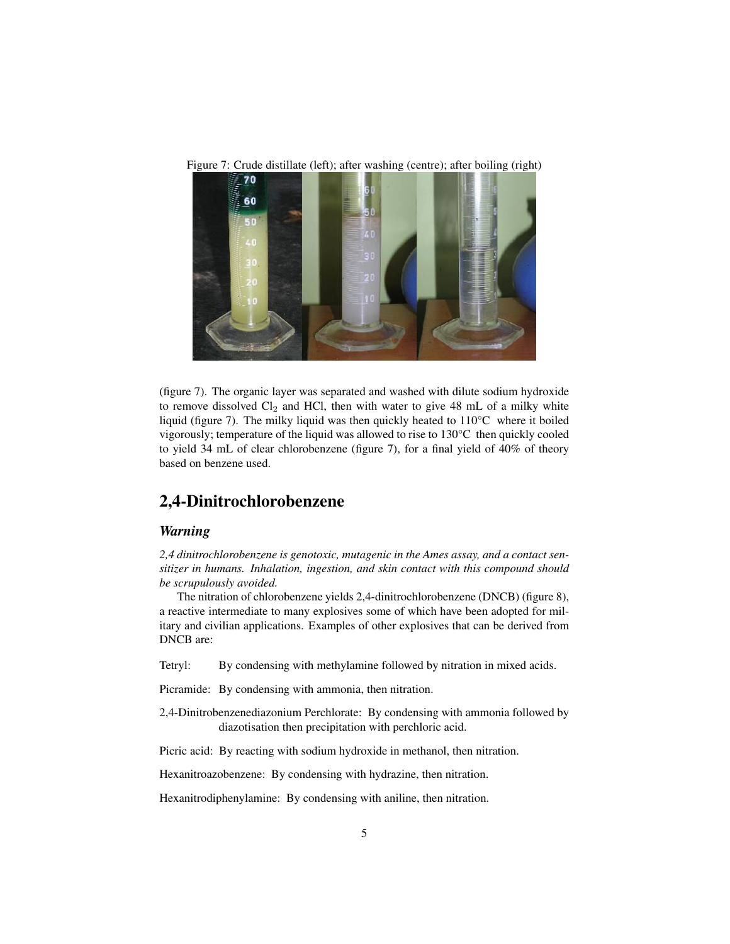Figure 7: Crude distillate (left); after washing (centre); after boiling (right)



(figure 7). The organic layer was separated and washed with dilute sodium hydroxide to remove dissolved  $Cl_2$  and HCl, then with water to give 48 mL of a milky white liquid (figure 7). The milky liquid was then quickly heated to 110°C where it boiled vigorously; temperature of the liquid was allowed to rise to 130°C then quickly cooled to yield 34 mL of clear chlorobenzene (figure 7), for a final yield of 40% of theory based on benzene used.

### 2,4-Dinitrochlorobenzene

### *Warning*

*2,4 dinitrochlorobenzene is genotoxic, mutagenic in the Ames assay, and a contact sensitizer in humans. Inhalation, ingestion, and skin contact with this compound should be scrupulously avoided.*

The nitration of chlorobenzene yields 2,4-dinitrochlorobenzene (DNCB) (figure 8), a reactive intermediate to many explosives some of which have been adopted for military and civilian applications. Examples of other explosives that can be derived from DNCB are:

- Tetryl: By condensing with methylamine followed by nitration in mixed acids.
- Picramide: By condensing with ammonia, then nitration.
- 2,4-Dinitrobenzenediazonium Perchlorate: By condensing with ammonia followed by diazotisation then precipitation with perchloric acid.
- Picric acid: By reacting with sodium hydroxide in methanol, then nitration.

Hexanitroazobenzene: By condensing with hydrazine, then nitration.

Hexanitrodiphenylamine: By condensing with aniline, then nitration.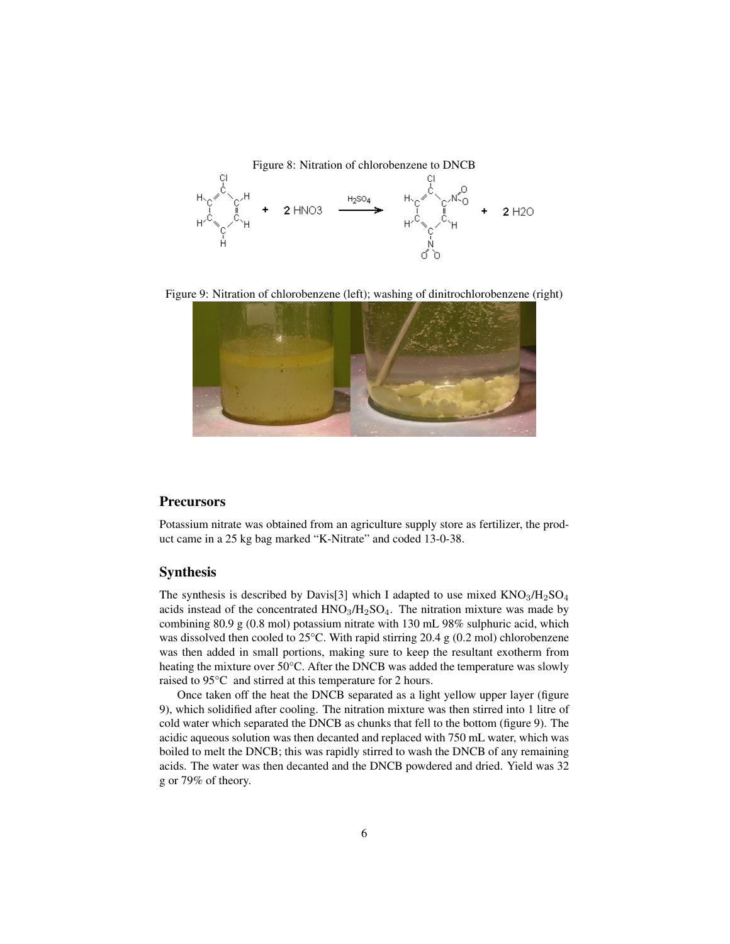

Figure 9: Nitration of chlorobenzene (left); washing of dinitrochlorobenzene (right)



### **Precursors**

Potassium nitrate was obtained from an agriculture supply store as fertilizer, the product came in a 25 kg bag marked "K-Nitrate" and coded 13-0-38.

#### Synthesis

The synthesis is described by Davis[3] which I adapted to use mixed  $KNO_3/H_2SO_4$ acids instead of the concentrated  $HNO<sub>3</sub>/H<sub>2</sub>SO<sub>4</sub>$ . The nitration mixture was made by combining 80.9 g (0.8 mol) potassium nitrate with 130 mL 98% sulphuric acid, which was dissolved then cooled to  $25^{\circ}$ C. With rapid stirring 20.4 g (0.2 mol) chlorobenzene was then added in small portions, making sure to keep the resultant exotherm from heating the mixture over 50°C. After the DNCB was added the temperature was slowly raised to 95°C and stirred at this temperature for 2 hours.

Once taken off the heat the DNCB separated as a light yellow upper layer (figure 9), which solidified after cooling. The nitration mixture was then stirred into 1 litre of cold water which separated the DNCB as chunks that fell to the bottom (figure 9). The acidic aqueous solution was then decanted and replaced with 750 mL water, which was boiled to melt the DNCB; this was rapidly stirred to wash the DNCB of any remaining acids. The water was then decanted and the DNCB powdered and dried. Yield was 32 g or 79% of theory.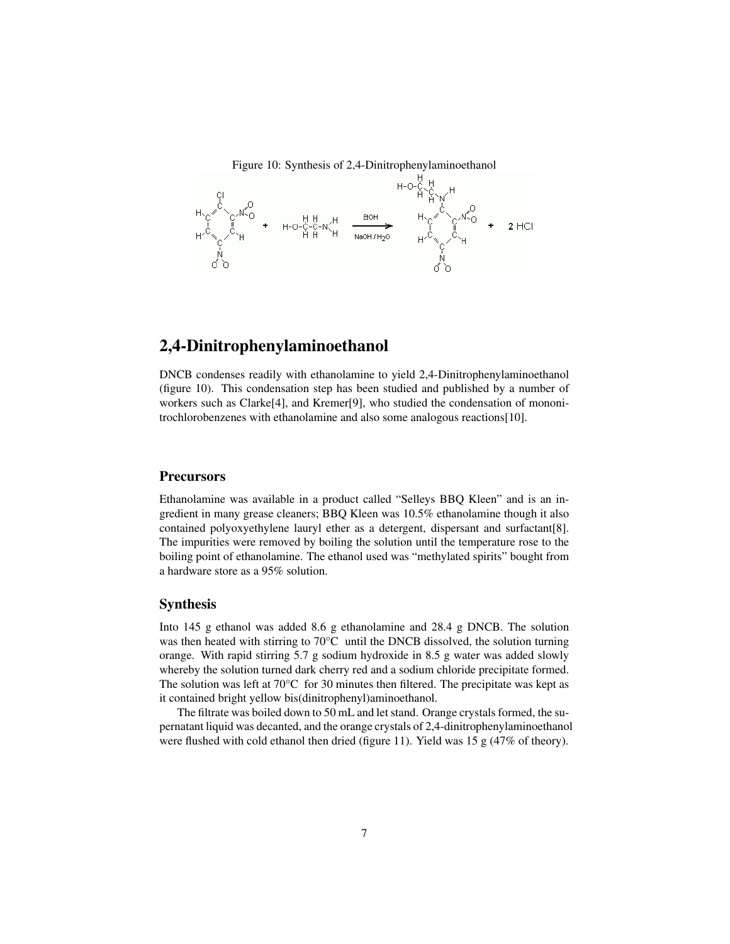

### 2,4-Dinitrophenylaminoethanol

DNCB condenses readily with ethanolamine to yield 2,4-Dinitrophenylaminoethanol (figure 10). This condensation step has been studied and published by a number of workers such as Clarke[4], and Kremer[9], who studied the condensation of mononitrochlorobenzenes with ethanolamine and also some analogous reactions[10].

### **Precursors**

Ethanolamine was available in a product called "Selleys BBQ Kleen" and is an ingredient in many grease cleaners; BBQ Kleen was 10.5% ethanolamine though it also contained polyoxyethylene lauryl ether as a detergent, dispersant and surfactant[8]. The impurities were removed by boiling the solution until the temperature rose to the boiling point of ethanolamine. The ethanol used was "methylated spirits" bought from a hardware store as a 95% solution.

#### Synthesis

Into 145 g ethanol was added 8.6 g ethanolamine and 28.4 g DNCB. The solution was then heated with stirring to 70°C until the DNCB dissolved, the solution turning orange. With rapid stirring 5.7 g sodium hydroxide in 8.5 g water was added slowly whereby the solution turned dark cherry red and a sodium chloride precipitate formed. The solution was left at 70°C for 30 minutes then filtered. The precipitate was kept as it contained bright yellow bis(dinitrophenyl)aminoethanol.

The filtrate was boiled down to 50 mL and let stand. Orange crystals formed, the supernatant liquid was decanted, and the orange crystals of 2,4-dinitrophenylaminoethanol were flushed with cold ethanol then dried (figure 11). Yield was 15 g (47% of theory).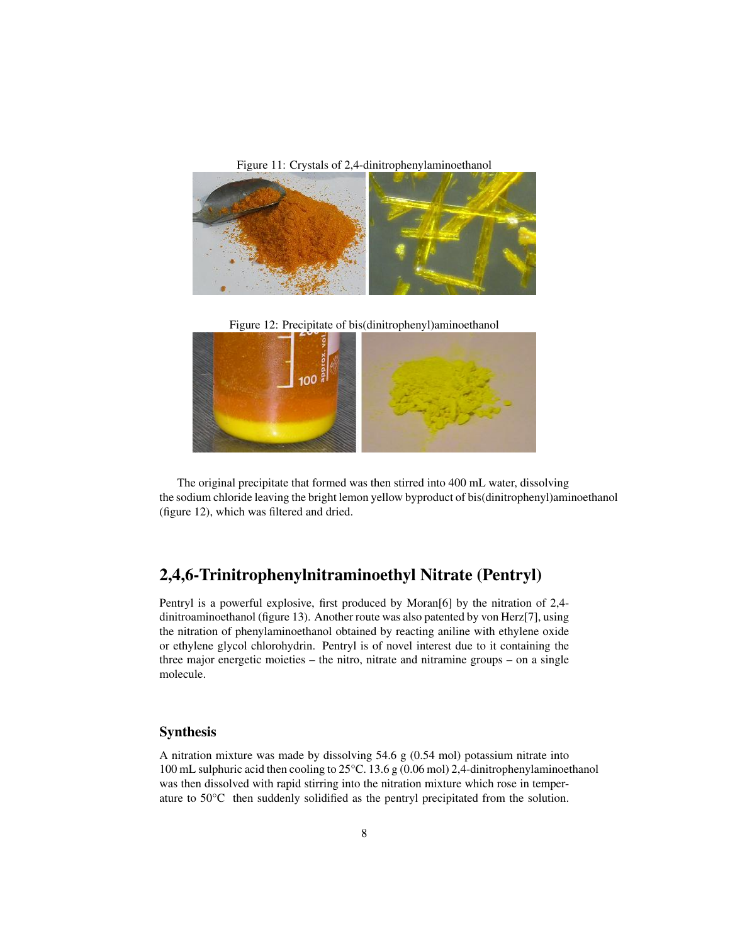Figure 11: Crystals of 2,4-dinitrophenylaminoethanol







The original precipitate that formed was then stirred into 400 mL water, dissolving the sodium chloride leaving the bright lemon yellow byproduct of bis(dinitrophenyl)aminoethanol (figure 12), which was filtered and dried.

# 2,4,6-Trinitrophenylnitraminoethyl Nitrate (Pentryl)

Pentryl is a powerful explosive, first produced by Moran[6] by the nitration of 2,4 dinitroaminoethanol (figure 13). Another route was also patented by von Herz[7], using the nitration of phenylaminoethanol obtained by reacting aniline with ethylene oxide or ethylene glycol chlorohydrin. Pentryl is of novel interest due to it containing the three major energetic moieties – the nitro, nitrate and nitramine groups – on a single molecule.

### Synthesis

A nitration mixture was made by dissolving 54.6 g (0.54 mol) potassium nitrate into 100 mL sulphuric acid then cooling to 25°C. 13.6 g (0.06 mol) 2,4-dinitrophenylaminoethanol was then dissolved with rapid stirring into the nitration mixture which rose in temperature to 50°C then suddenly solidified as the pentryl precipitated from the solution.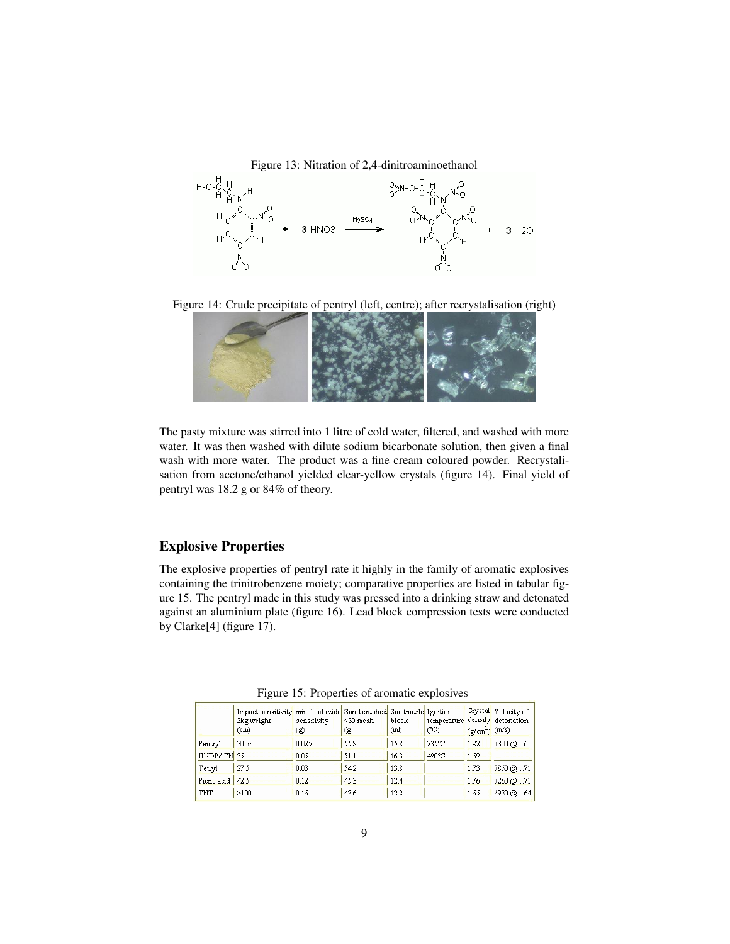

Figure 14: Crude precipitate of pentryl (left, centre); after recrystalisation (right)



The pasty mixture was stirred into 1 litre of cold water, filtered, and washed with more water. It was then washed with dilute sodium bicarbonate solution, then given a final wash with more water. The product was a fine cream coloured powder. Recrystalisation from acetone/ethanol yielded clear-yellow crystals (figure 14). Final yield of pentryl was 18.2 g or 84% of theory.

### Explosive Properties

The explosive properties of pentryl rate it highly in the family of aromatic explosives containing the trinitrobenzene moiety; comparative properties are listed in tabular figure 15. The pentryl made in this study was pressed into a drinking straw and detonated against an aluminium plate (figure 16). Lead block compression tests were conducted by Clarke[4] (figure 17).

|                       | Impact sensitivity min. lead azide Sand crushed Sm. trauzle Ignition<br>2kg weight<br>(cm) | sensitivity<br>(ළ) | $<$ 30 mesh<br>(ළ) | block<br>(m) | temperature<br>(°) | $\left  \frac{g}{\text{cm}^3} \right  \text{ (m/s)}$ | Crystal Velocity of<br>density detonation |
|-----------------------|--------------------------------------------------------------------------------------------|--------------------|--------------------|--------------|--------------------|------------------------------------------------------|-------------------------------------------|
| Pentryl               | 30cm                                                                                       | 0.025              | 55.8               | 15.8         | 235°C              | 1.82                                                 | 7300 @ 1.6                                |
| HNDPAEN <sup>35</sup> |                                                                                            | 0.05               | 51.1               | 16.3         | 490°C              | 1.69                                                 |                                           |
| Tetryl                | 27.5                                                                                       | 0.03               | 54.2               | 13.8         |                    | 1.73                                                 | 7850 @ 1.71                               |
| Picric acid           | 42.5                                                                                       | 0.12               | 45.3               | 12.4         |                    | 1.76                                                 | 7260 @ 1.71                               |
| TNT                   | >100                                                                                       | 0.16               | 43.6               | 12.2         |                    | 1.65                                                 | 6930 @ 1.64                               |

Figure 15: Properties of aromatic explosives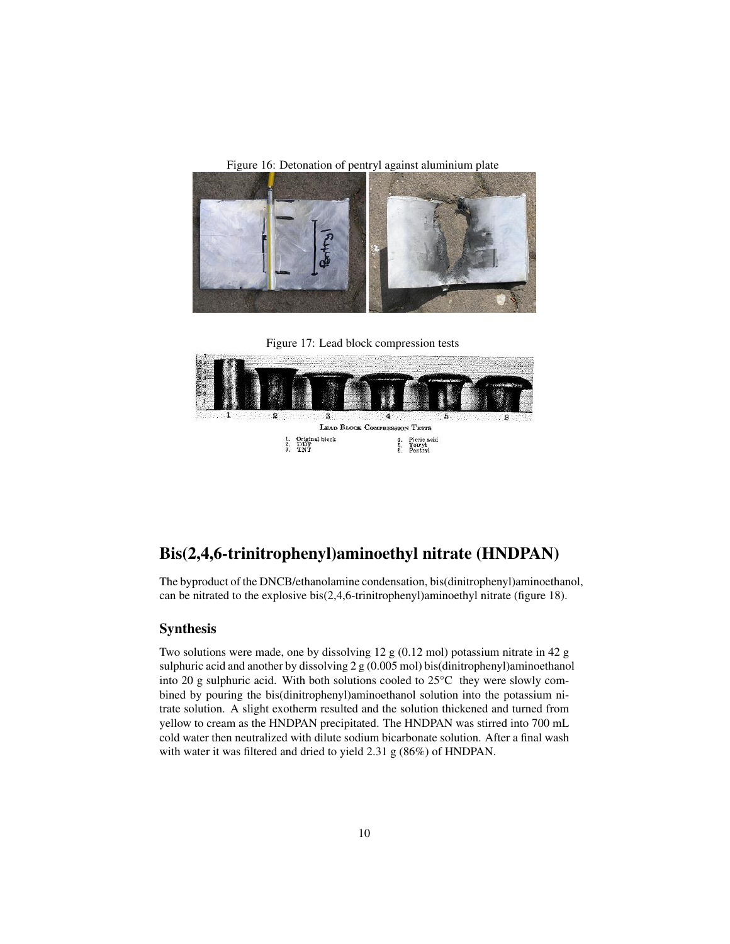Figure 16: Detonation of pentryl against aluminium plate



Figure 17: Lead block compression tests



# Bis(2,4,6-trinitrophenyl)aminoethyl nitrate (HNDPAN)

The byproduct of the DNCB/ethanolamine condensation, bis(dinitrophenyl)aminoethanol, can be nitrated to the explosive bis(2,4,6-trinitrophenyl)aminoethyl nitrate (figure 18).

### Synthesis

Two solutions were made, one by dissolving 12 g (0.12 mol) potassium nitrate in 42 g sulphuric acid and another by dissolving 2 g (0.005 mol) bis(dinitrophenyl)aminoethanol into 20 g sulphuric acid. With both solutions cooled to 25°C they were slowly combined by pouring the bis(dinitrophenyl)aminoethanol solution into the potassium nitrate solution. A slight exotherm resulted and the solution thickened and turned from yellow to cream as the HNDPAN precipitated. The HNDPAN was stirred into 700 mL cold water then neutralized with dilute sodium bicarbonate solution. After a final wash with water it was filtered and dried to yield 2.31 g (86%) of HNDPAN.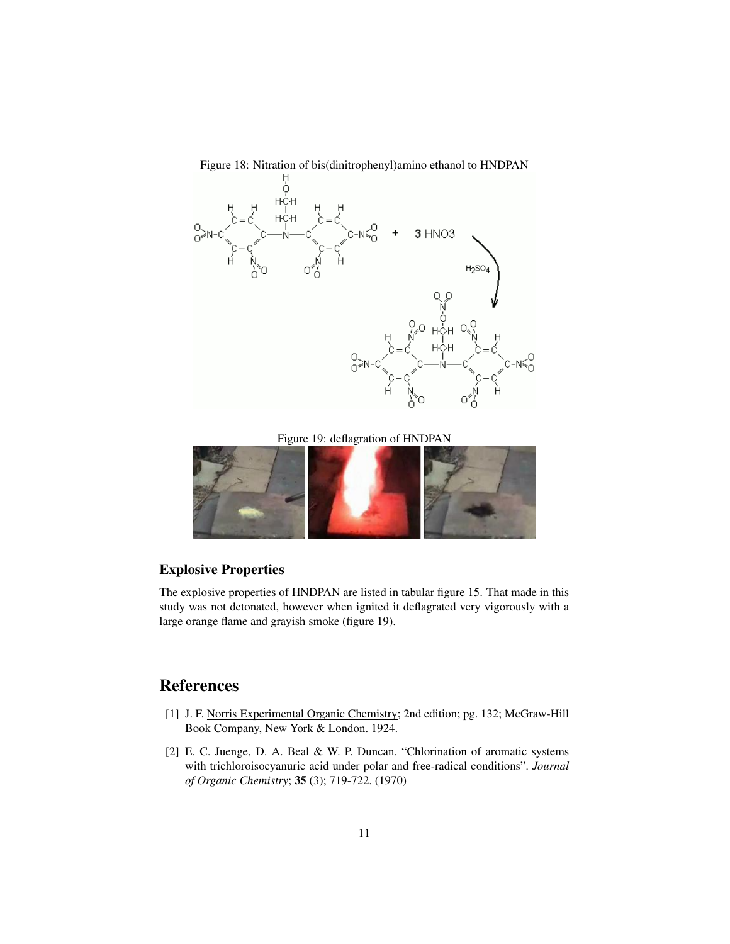

Figure 18: Nitration of bis(dinitrophenyl)amino ethanol to HNDPAN

Figure 19: deflagration of HNDPAN



### Explosive Properties

The explosive properties of HNDPAN are listed in tabular figure 15. That made in this study was not detonated, however when ignited it deflagrated very vigorously with a large orange flame and grayish smoke (figure 19).

# **References**

- [1] J. F. Norris Experimental Organic Chemistry; 2nd edition; pg. 132; McGraw-Hill Book Company, New York & London. 1924.
- [2] E. C. Juenge, D. A. Beal & W. P. Duncan. "Chlorination of aromatic systems with trichloroisocyanuric acid under polar and free-radical conditions". *Journal of Organic Chemistry*; 35 (3); 719-722. (1970)